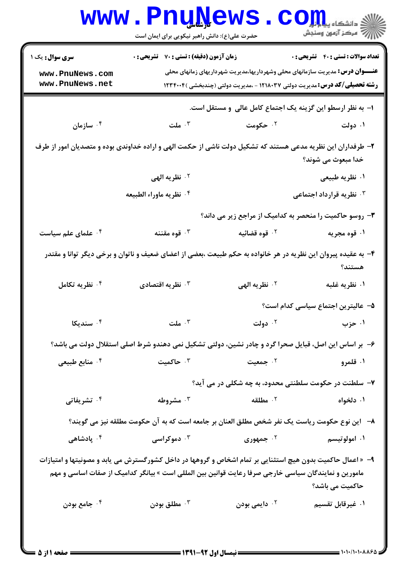|                                                              | <b>WWW.PnuNews</b><br>حضرت علی(ع): دانش راهبر نیکویی برای ایمان است                                                                                                                                               |                                                                                                                                                                            | $COJJ_{\rm s}$ دانشڪاه پيا<br>رآب مرڪز آزمون وسنڊش |
|--------------------------------------------------------------|-------------------------------------------------------------------------------------------------------------------------------------------------------------------------------------------------------------------|----------------------------------------------------------------------------------------------------------------------------------------------------------------------------|----------------------------------------------------|
| <b>سری سوال :</b> یک ۱<br>www.PnuNews.com<br>www.PnuNews.net | <b>زمان آزمون (دقیقه) : تستی : 70 گشریحی : 0</b>                                                                                                                                                                  | <b>عنــــوان درس:</b> مدیریت سازمانهای محلی وشهرداریها،مدیریت شهرداریهای زمانهای محلی<br><b>رشته تحصیلی/کد درس: م</b> دیریت دولتی ۱۲۱۸۰۳۷ - ،مدیریت دولتی (چندبخشی )۲۳۴۰۰۴ | <b>تعداد سوالات : تستي : 40 - تشريحي : 0</b>       |
|                                                              |                                                                                                                                                                                                                   | ا– به نظر ارسطو این گزینه یک اجتماع کامل عالی و مستقل است.                                                                                                                 |                                                    |
| ۰۴ سازمان                                                    | $\cdot$ ملت                                                                                                                                                                                                       | ۰۲ حکومت                                                                                                                                                                   | ۰۱ دولت                                            |
|                                                              | ۲– طرفداران این نظریه مدعی هستند که تشکیل دولت ناشی از حکمت الهی و اراده خداوندی بوده و متصدیان امور از طرف                                                                                                       |                                                                                                                                                                            | خدا مبعوث مي شوند؟                                 |
|                                                              | ۰ <sup>۲</sup> نظریه الهی                                                                                                                                                                                         |                                                                                                                                                                            | ۰۱ نظریه طبیعی                                     |
|                                                              | ۰۴ نظريه ماوراء الطبيعه                                                                                                                                                                                           |                                                                                                                                                                            | ۰ <sup>۳</sup> نظریه قرارداد اجتماعی               |
|                                                              |                                                                                                                                                                                                                   | ۳- روسو حاکمیت را منحصر به کدامیک از مراجع زیر می داند؟                                                                                                                    |                                                    |
| ۰۴ علمای علم سیاست                                           | قوه مقننه $\cdot$                                                                                                                                                                                                 | ۰ <sup>۲</sup> قوه قضائیه                                                                                                                                                  | ۰۱ قوه مجریه                                       |
|                                                              | ۴- به عقیده پیروان این نظریه در هر خانواده به حکم طبیعت ،بعضی از اعضای ضعیف و ناتوان و برخی دیگر توانا و مقتدر                                                                                                    |                                                                                                                                                                            | هستند؟                                             |
| نظريه تكامل $\cdot$ ۴                                        | نظریه اقتصادی $\cdot$                                                                                                                                                                                             | ۰۲ نظریه الهی                                                                                                                                                              | ۰۱ نظریه غلبه                                      |
|                                                              |                                                                                                                                                                                                                   |                                                                                                                                                                            | ۵– عالیترین اجتماع سیاسی کدام است؟                 |
| سنديكا $\cdot$ ۴                                             | $\cdot$ ملت                                                                                                                                                                                                       | ۰۲ دولت                                                                                                                                                                    | ۰۱ حزب                                             |
|                                                              | ۶– بر اساس این اصل، قبایل صحرا گرد و چادر نشین، دولتی تشکیل نمی دهندو شرط اصلی استقلال دولت می باشد؟                                                                                                              |                                                                                                                                                                            |                                                    |
| ۰ <sup>۴</sup> منابع طبیعی                                   | حاكميت $\cdot$ "                                                                                                                                                                                                  | ۰۲ جمعیت                                                                                                                                                                   | ۰۱ قلمرو                                           |
|                                                              |                                                                                                                                                                                                                   | ٧- سلطنت در حکومت سلطنتي محدود، به چه شکلي در مي آيد؟                                                                                                                      |                                                    |
| ۰ <sup>۴</sup> تشریفاتی                                      | مشروطه $\cdot^{\mathsf{v}}$                                                                                                                                                                                       | ۰ <sup>۲</sup> مطلقه                                                                                                                                                       | ۰۱ دلخواه                                          |
|                                                              | ٨−   این نوع حکومت ریاست یک نفر شخص مطلق العنان بر جامعه است که به آن حکومت مطلقه نیز می گویند؟                                                                                                                   |                                                                                                                                                                            |                                                    |
| ۰ <sup>۴</sup> پادشاهی                                       | دموکراسی $\cdot^{\mathsf{v}}$                                                                                                                                                                                     | ۰ <sup>۲</sup> جمهوری                                                                                                                                                      | ۰۱ امولوتيسم                                       |
|                                                              | ۹- «اعمال حاکمیت بدون هیچ استثنایی بر تمام اشخاص و گروهها در داخل کشورگسترش می یابد و مصونیتها و امتیازات<br>مامورین و نمایندگان سیاسی خارجی صرفا رعایت قوانین بین المللی است » بیانگر کدامیک از صفات اساسی و مهم |                                                                                                                                                                            | حاکمیت می باشد؟                                    |
| ۰۴ جامع بودن                                                 | مطلق بودن $\cdot^{\intercal}$                                                                                                                                                                                     | ۰ <sup>۲</sup> دایمی بودن                                                                                                                                                  | ۰۱ غیرقابل تقسیم                                   |
|                                                              |                                                                                                                                                                                                                   |                                                                                                                                                                            |                                                    |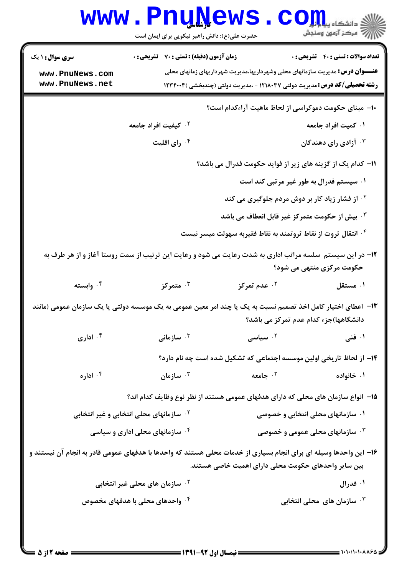|                                                                                                                                        | www.PnuNews<br>حضرت علی(ع): دانش راهبر نیکویی برای ایمان است                                                 |                      | الله دانشکاه پیام در استفاده<br>الله عرکز آزمون وسنجش                                                                                 |
|----------------------------------------------------------------------------------------------------------------------------------------|--------------------------------------------------------------------------------------------------------------|----------------------|---------------------------------------------------------------------------------------------------------------------------------------|
| <b>سری سوال : ۱ یک</b>                                                                                                                 | <b>زمان آزمون (دقیقه) : تستی : 70 گشریحی : 0</b>                                                             |                      | <b>تعداد سوالات : تستي : 40 - تشريحي : 0</b><br><b>عنــــوان درس:</b> مدیریت سازمانهای محلی وشهرداریها،مدیریت شهرداریهای زمانهای محلی |
| www.PnuNews.com<br>www.PnuNews.net                                                                                                     |                                                                                                              |                      | <b>رشته تحصیلی/کد درس:</b> مدیریت دولتی ۱۲۱۸۰۳۷ - ،مدیریت دولتی (چندبخشی )۱۲۳۴۰۰۴                                                     |
|                                                                                                                                        |                                                                                                              |                      | ∙ا− مبنای حکومت دموکراسی از لحاظ ماهیت آراءکدام است؟                                                                                  |
|                                                                                                                                        | ۰۲ کیفیت افراد جامعه                                                                                         |                      | ۰۱ کمیت افراد جامعه                                                                                                                   |
|                                                                                                                                        | ۰۴ رای اقلیت                                                                                                 |                      | ۰۳ آزادی رای دهندگان                                                                                                                  |
|                                                                                                                                        |                                                                                                              |                      | 11– کدام یک از گزینه های زیر از فواید حکومت فدرال می باشد؟                                                                            |
|                                                                                                                                        |                                                                                                              |                      | ۰۱ سیستم فدرال به طور غیر مرتبی کند است                                                                                               |
|                                                                                                                                        | <sup>۲ .</sup> از فشار زیاد کار بر دوش مردم جلوگیری می کند                                                   |                      |                                                                                                                                       |
|                                                                                                                                        |                                                                                                              |                      | ۰ <sup>۳</sup> بیش از حکومت متمرکز غیر قابل انعطاف می باشد                                                                            |
|                                                                                                                                        |                                                                                                              |                      | ۰۴ انتقال ثروت از نقاط ثروتمند به نقاط فقیربه سهولت میسر نیست                                                                         |
| ۱۲– در این سیستم  سلسه مراتب اداری به شدت رعایت می شود و رعایت این ترتیب از سمت روستا آغاز و از هر طرف به<br>حکومت مرکزی منتهی می شود؟ |                                                                                                              |                      |                                                                                                                                       |
| ۰۴ وابسته                                                                                                                              | تمرکز $\cdot$ ۳ $\cdot$                                                                                      | عدم تمرکز $\cdot$ ۲  | ۰۱ مستقل                                                                                                                              |
|                                                                                                                                        | ۱۳– اعطای اختیار کامل اخذ تصمیم نسبت به یک یا چند امر معین عمومی به یک موسسه دولتی یا یک سازمان عمومی (مانند |                      | دانشگاهها)جزء کدام عدم تمرکز می باشد؟                                                                                                 |
| ا اداری $\cdot$ ۴                                                                                                                      | سازمانى $\cdot$                                                                                              | ۰ <sup>۲</sup> سیاسی | ۰۱ فنی                                                                                                                                |
|                                                                                                                                        |                                                                                                              |                      | ۱۴– از لحاظ تاریخی اولین موسسه اجتماعی که تشکیل شده است چه نام دارد؟                                                                  |
| ۰۴ اداره                                                                                                                               | سازمان $\cdot$                                                                                               | ۰ <sup>۲</sup> جامعه | ۰۱ خانواده                                                                                                                            |
|                                                                                                                                        |                                                                                                              |                      | ۱۵− انواع سازمان های محلی که دارای هدفهای عمومی هستند از نظر نوع وظایف کدام اند؟                                                      |
|                                                                                                                                        | <b>گ سازمانهای محلی انتخابی و غیر انتخابی</b>                                                                |                      | ۰۱ سازمانهای محلی انتخابی و خصوصی                                                                                                     |
| ۰۴ سازمانهای محلی اداری و سیاسی<br>۰۳ سازمانهای محلی عمومی و خصوصی $\cdot$                                                             |                                                                                                              |                      |                                                                                                                                       |
| ۱۶– این واحدها وسیله ای برای انجام بسیاری از خدمات محلی هستند که واحدها با هدفهای عمومی قادر به انجام آن نیستند و                      |                                                                                                              |                      | بین سایر واحدهای حکومت محلی دارای اهمیت خاصی هستند.                                                                                   |
|                                                                                                                                        | <sup>۲ .</sup> سازمان های محلی غیر انتخابی                                                                   |                      | ۰۱ فدرال                                                                                                                              |
|                                                                                                                                        | ۰۴ واحدهای محلی با هدفهای مخصوص                                                                              |                      | ۰ <sup>۳</sup> سازمان های محلی انتخابی $\cdot$                                                                                        |
|                                                                                                                                        |                                                                                                              |                      |                                                                                                                                       |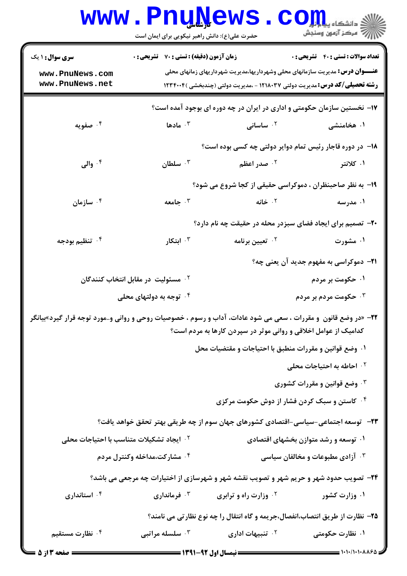|                                                                                                                 | <b>www.PnuNews</b><br>حضرت علی(ع): دانش راهبر نیکویی برای ایمان است                          |                                                                                                                                                                           | $\mathbf{C}\mathbf{O}$ چ دانشڪاه پيا<br>أأآت مركز آزمون وسنجش |
|-----------------------------------------------------------------------------------------------------------------|----------------------------------------------------------------------------------------------|---------------------------------------------------------------------------------------------------------------------------------------------------------------------------|---------------------------------------------------------------|
| <b>سری سوال : ۱ یک</b><br>www.PnuNews.com<br>www.PnuNews.net                                                    | <b>زمان آزمون (دقیقه) : تستی : 70 ٪ تشریحی : 0</b>                                           | <b>عنــــوان درس:</b> مدیریت سازمانهای محلی وشهرداریها،مدیریت شهرداریهای زمانهای محلی<br><b>رشته تحصیلی/کد درس:</b> مدیریت دولتی ۱۲۱۸۰۳۷ - ،مدیریت دولتی (چندبخشی )۲۳۴۰۰۴ | <b>تعداد سوالات : تستي : 40 - تشريحي : 0</b>                  |
|                                                                                                                 |                                                                                              | ۱۷- نخستین سازمان حکومتی و اداری در ایران در چه دوره ای بوجود آمده است؟                                                                                                   |                                                               |
| ۰۴ صفویه                                                                                                        | ا مادها $\cdot$ $^{\circ}$                                                                   | ۰۲ ساسانی                                                                                                                                                                 | ۱. هخامنشی                                                    |
|                                                                                                                 |                                                                                              | <b>۱۸</b> - در دوره قاجار رئیس تمام دوایر دولتی چه کسی بوده است؟                                                                                                          |                                                               |
| ۰۴ والی $\cdot$                                                                                                 | سلطان $\cdot^{\mathsf{r}}$                                                                   | ۰ <sup>۲</sup> صدر اعظم                                                                                                                                                   | ۰۱ کلانتر                                                     |
|                                                                                                                 |                                                                                              | ۱۹- به نظر صاحبنظران ، دموکراسی حقیقی از کجا شروع می شود؟                                                                                                                 |                                                               |
| ا سازمان $\cdot$                                                                                                | ۰۳ جامعه                                                                                     | ۰۲ خ <b>ان</b> ه                                                                                                                                                          | ۰۱ مدرسه                                                      |
|                                                                                                                 |                                                                                              | <b>۲۰</b> - تصمیم برای ایجاد فضای سبزدر محله در حقیقت چه نام دارد؟                                                                                                        |                                                               |
| ۰ <sup>۴</sup> تنظیم بودجه                                                                                      | ابتكار $\cdot$                                                                               | ۰ <sup>۲</sup> تعیین برنامه                                                                                                                                               | ۰۱ مشورت                                                      |
|                                                                                                                 |                                                                                              |                                                                                                                                                                           | <b>۲۱</b> - دموکراسی به مفهوم جدید آن یعنی چه؟                |
|                                                                                                                 | <sup>۰۲</sup> مسئولیت در مقابل انتخاب کنندگان                                                |                                                                                                                                                                           | ۰۱ حکومت بر مردم                                              |
|                                                                                                                 | ۰۴ توجه به دولتهای محلی                                                                      |                                                                                                                                                                           | حکومت مردم بر مردم $\cdot$ ۳ $\cdot$                          |
| ۲۲- «در وضع قانون  و مقررات ، سعی می شود عادات، آداب و رسوم ، خصوصیات روحی و روانی و…مورد توجه قرار گیرد»بیانگر |                                                                                              | کدامیک از عوامل اخلاقی و روانی موثر در سپردن کارها به مردم است؟                                                                                                           |                                                               |
|                                                                                                                 |                                                                                              | ۰۱ وضع قوانین و مقررات منطبق با احتیاجات و مقتضیات محل                                                                                                                    |                                                               |
|                                                                                                                 |                                                                                              |                                                                                                                                                                           | ۰۲ احاطه به احتیاجات محلی                                     |
|                                                                                                                 |                                                                                              |                                                                                                                                                                           | وضع قوانین و مقررات کشوری $\cdot^{\textsf{\tiny{F}}}$         |
|                                                                                                                 |                                                                                              | ۰۴ کاستن و سبک کردن فشار از دوش حکومت مرکزی                                                                                                                               |                                                               |
|                                                                                                                 |                                                                                              | ۲۳−   توسعه اجتماعی−سیاسی−اقتصادی کشورهای جهان سوم از چه طریقی بهتر تحقق خواهد یافت؟                                                                                      |                                                               |
|                                                                                                                 | <sup>۲</sup> · ایجاد تشکیلات متناسب با احتیاجات محلی<br>۰۱ توسعه و رشد متوازن بخشهای اقتصادی |                                                                                                                                                                           |                                                               |
| ۰۴ مشارکت،مداخله وکنترل مردم                                                                                    |                                                                                              |                                                                                                                                                                           | ۰۳ آزادی مطبوعات و مخالفان سیاسی                              |
|                                                                                                                 |                                                                                              | <b>۲۴</b> - تصویب حدود شهر و حریم شهر و تصویب نقشه شهر و شهرسازی از اختیارات چه مرجعی می باشد؟                                                                            |                                                               |
| ۰ <sup>۴</sup> استانداری                                                                                        | فرمانداری $\cdot$ "                                                                          | وزارت راه و ترابری $\cdot$                                                                                                                                                | ۰۱ وزارت کشور                                                 |
|                                                                                                                 |                                                                                              | ۲۵- نظارت از طریق انتصاب،انفصال،جریمه و گاه انتقال را چه نوع نظارتی می نامند؟                                                                                             |                                                               |
| ۰۴ نظارت مستقیم                                                                                                 | سلسله مراتبي $\cdot^{\mathsf{v}}$                                                            | ۰ <sup>۲</sup> تنبیهات اداری                                                                                                                                              | ۰۱ نظارت حکومتی                                               |
| = صفحه 13 j                                                                                                     |                                                                                              |                                                                                                                                                                           | $1+1+1+1+1+1+2=$                                              |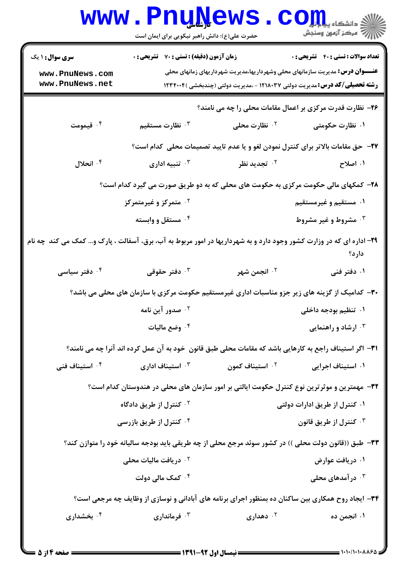|                                                                                                                     | <b>WWW.PNUNEWS</b><br>حضرت علی(ع): دانش راهبر نیکویی برای ایمان است                                    |                          | $COJJ_{\rm s}$ دانشڪاه پيا<br>أأأ مركز آزمون وسنجش                                                                                  |
|---------------------------------------------------------------------------------------------------------------------|--------------------------------------------------------------------------------------------------------|--------------------------|-------------------------------------------------------------------------------------------------------------------------------------|
| <b>سری سوال :</b> ۱ یک                                                                                              | <b>زمان آزمون (دقیقه) : تستی : 70 ٪ تشریحی : 0</b>                                                     |                          | <b>تعداد سوالات : تستي : 40 قشريحي : 0</b><br><b>عنــــوان درس:</b> مدیریت سازمانهای محلی وشهرداریها،مدیریت شهرداریهای زمانهای محلی |
| www.PnuNews.com<br>www.PnuNews.net                                                                                  |                                                                                                        |                          | <b>رشته تحصیلی/کد درس: م</b> دیریت دولتی ۱۲۱۸۰۳۷ - ،مدیریت دولتی (چندبخشی )۲۳۴۰۰۴                                                   |
|                                                                                                                     |                                                                                                        |                          | ۲۶- نظارت قدرت مرکزی بر اعمال مقامات محلی را چه می نامند؟                                                                           |
| ۰۴ قیمومت                                                                                                           | ۰۳ نظارت مستقیم                                                                                        | <b>1. نظارت محلی</b>     | ۰۱ نظارت حکومتی                                                                                                                     |
|                                                                                                                     |                                                                                                        |                          | <b>37- حق مقامات بالاتر برای کنترل نمودن لغو و یا عدم تایید تصمیمات محلی کدام است؟</b>                                              |
| ۰۴ انحلال                                                                                                           | تنبیه اداری $\cdot$ ۳                                                                                  | ۰ <sup>۲</sup> تجدید نظر | ۰۱ اصلاح                                                                                                                            |
| ۲۸- کمکهای مالی حکومت مرکزی به حکومت های محلی که به دو طریق صورت می گیرد کدام است؟                                  |                                                                                                        |                          |                                                                                                                                     |
|                                                                                                                     | ۰ <sup>۲</sup> متمرکز و غیرمتمرکز                                                                      |                          | ۰۱ مستقیم و غیرمستقیم                                                                                                               |
|                                                                                                                     | ۰۴ مستقل و وابسته                                                                                      |                          | ۰۳ مشروط و غیر مشروط                                                                                                                |
| ۲۹- اداره ای که در وزارت کشور وجود دارد و به شهرداریها در امور مربوط به آب، برق، آسفالت ، پارک و… کمک می کند چه نام |                                                                                                        |                          | دارد؟                                                                                                                               |
| ۰۴ دفتر سیاسی                                                                                                       | دفتر حقوقی $\cdot$                                                                                     | ۰ <sup>۲</sup> انجمن شهر | ۰۱ دفتر فنی                                                                                                                         |
|                                                                                                                     | ۳۰– کدامیک از گزینه های زیر جزو مناسبات اداری غیرمستقیم حکومت مرکزی با سازمان های محلی می باشد؟        |                          |                                                                                                                                     |
|                                                                                                                     | ۰ <sup>۲</sup> صدور آین نامه                                                                           |                          | ۰۱ تنظیم بودجه داخلی                                                                                                                |
|                                                                                                                     | ۰۴ وضع ماليات                                                                                          |                          | ارشاد و راهنمایی $\cdot^{\texttt{w}}$                                                                                               |
|                                                                                                                     | ٣١- اگر استيناف راجع به كارهايي باشد كه مقامات محلي طبق قانون خود به آن عمل كرده اند آنرا چه مي نامند؟ |                          |                                                                                                                                     |
| ۰۴ استیناف فنی                                                                                                      | استيناف ادارى $\cdot$                                                                                  | ۰۲ استیناف کمون          | ۰۱ استیناف اجرایی                                                                                                                   |
|                                                                                                                     | ۳۲– مهمترین و موثرترین نوع کنترل حکومت ایالتی بر امور سازمان های محلی در هندوستان کدام است؟            |                          |                                                                                                                                     |
|                                                                                                                     | <sup>۲.</sup> کنترل از طریق دادگاه                                                                     |                          | ۰۱ کنترل از طریق ادارات دولتی                                                                                                       |
|                                                                                                                     | ۰۴ کنترل از طریق بازرسی                                                                                |                          | کنترل از طریق قانون $\cdot^{\mathtt{w}}$                                                                                            |
|                                                                                                                     | ۳۳- طبق ((قانون دولت محلی )) در کشور سوئد مرجع محلی از چه طریقی باید بودجه سالیانه خود را متوازن کند؟  |                          |                                                                                                                                     |
|                                                                                                                     | <b>7 . دريافت ماليات محلي</b>                                                                          |                          | ۰۱ دریافت عوارض                                                                                                                     |
|                                                                                                                     | ۰۴ کمک مال <sub>ی</sub> دولت                                                                           |                          | در آمدهای محلی $\cdot ^{\mathrm{v}}$                                                                                                |
|                                                                                                                     | ۳۴- ایجاد روح همکاری بین ساکنان ده بمنظور اجرای برنامه های آبادانی و نوسازی از وظایف چه مرجعی است؟     |                          |                                                                                                                                     |
| ۰ <sup>۴</sup> بخشداری                                                                                              | فرمانداری $\cdot$ "                                                                                    | دهداری $\cdot^\intercal$ | ۰۱ انجمن ده                                                                                                                         |
|                                                                                                                     |                                                                                                        |                          |                                                                                                                                     |